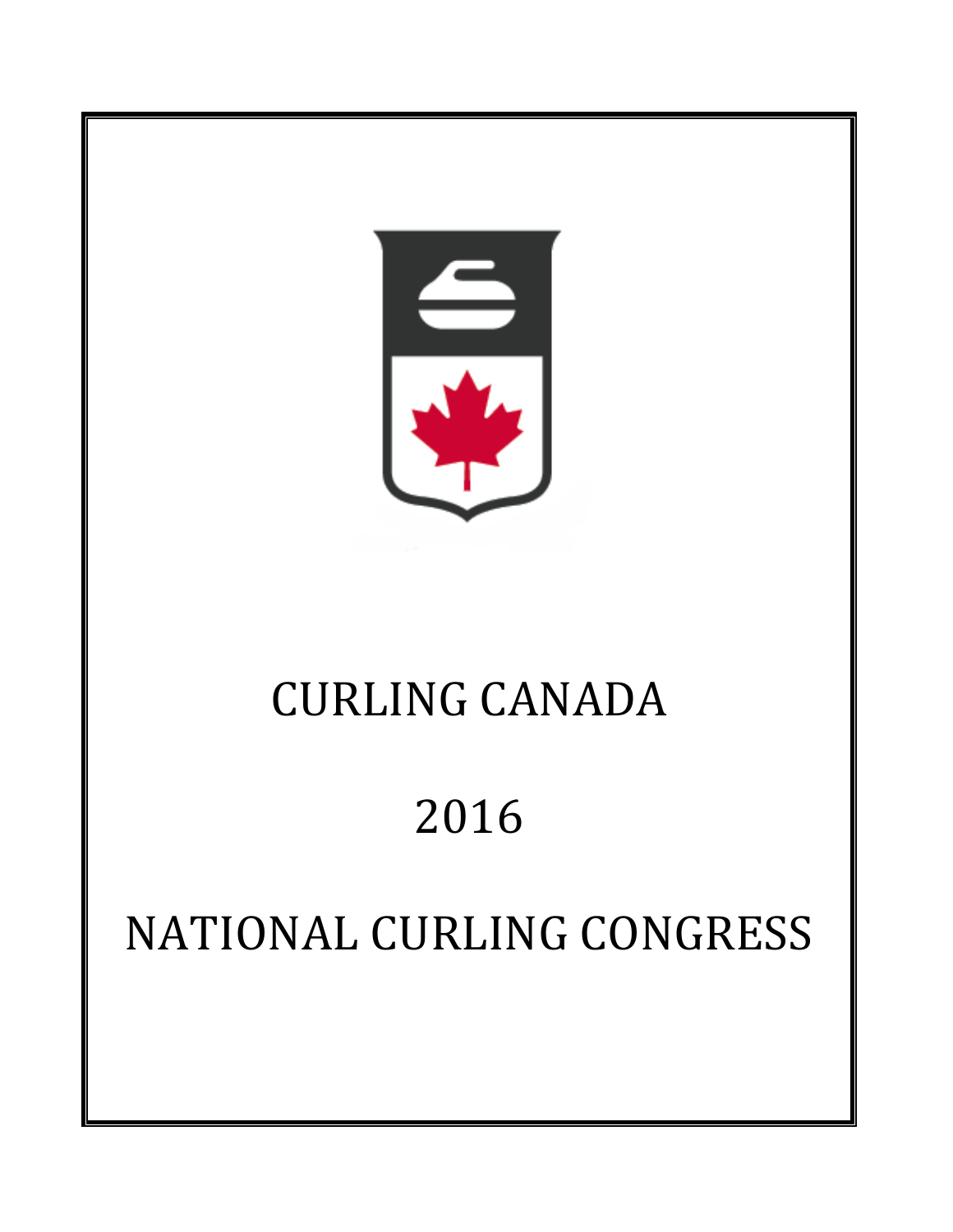

# CURLING CANADA

# 2016

# NATIONAL CURLING CONGRESS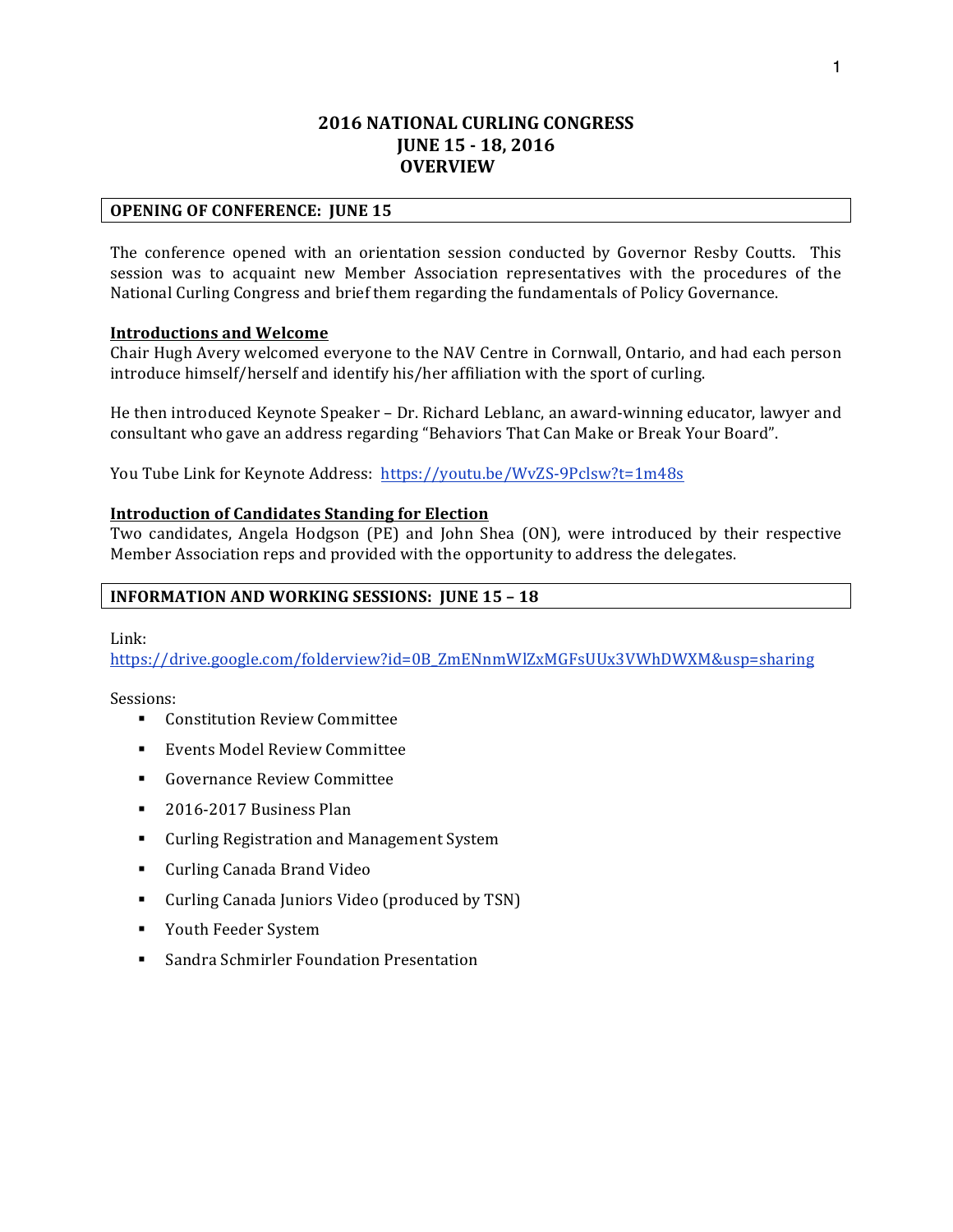## **2016 NATIONAL CURLING CONGRESS JUNE 15 - 18, 2016** *<u>OVERVIEW</u>*

#### **OPENING OF CONFERENCE: JUNE 15**

The conference opened with an orientation session conducted by Governor Resby Coutts. This session was to acquaint new Member Association representatives with the procedures of the National Curling Congress and brief them regarding the fundamentals of Policy Governance.

#### **Introductions and Welcome**

Chair Hugh Avery welcomed everyone to the NAV Centre in Cornwall, Ontario, and had each person introduce himself/herself and identify his/her affiliation with the sport of curling.

He then introduced Keynote Speaker – Dr. Richard Leblanc, an award-winning educator, lawyer and consultant who gave an address regarding "Behaviors That Can Make or Break Your Board".

You Tube Link for Keynote Address: https://youtu.be/WvZS-9Pclsw?t=1m48s

#### **Introduction of Candidates Standing for Election**

Two candidates, Angela Hodgson (PE) and John Shea (ON), were introduced by their respective Member Association reps and provided with the opportunity to address the delegates.

#### **INFORMATION AND WORKING SESSIONS: JUNE 15 - 18**

Link: 

https://drive.google.com/folderview?id=0B\_ZmENnmWlZxMGFsUUx3VWhDWXM&usp=sharing

Sessions:

- Constitution Review Committee
- Events Model Review Committee
- Governance Review Committee
- § 2016-2017 Business Plan
- Curling Registration and Management System
- Curling Canada Brand Video
- Curling Canada Juniors Video (produced by TSN)
- Youth Feeder System
- Sandra Schmirler Foundation Presentation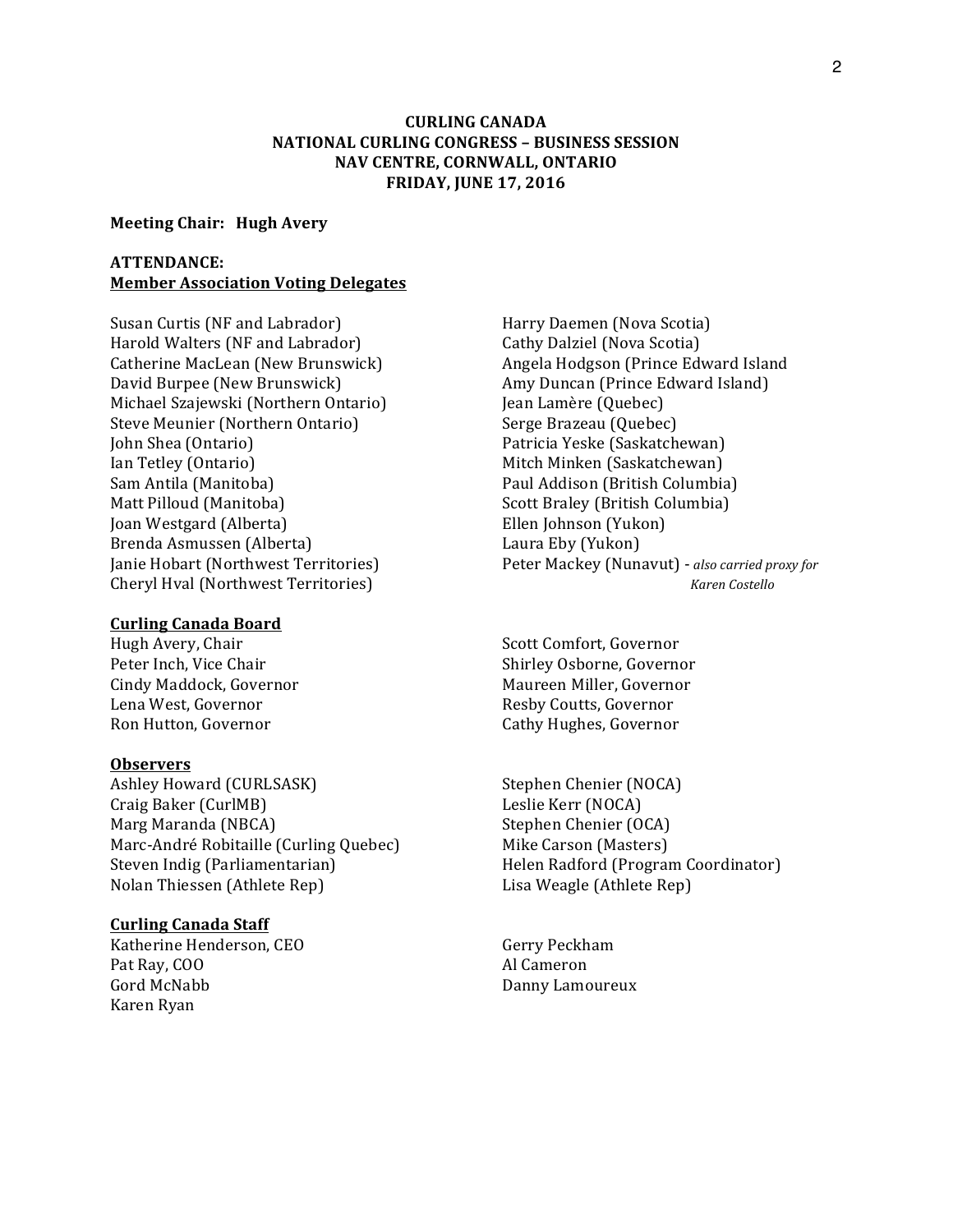## **CURLING CANADA NATIONAL CURLING CONGRESS – BUSINESS SESSION NAV CENTRE, CORNWALL, ONTARIO FRIDAY, JUNE 17, 2016**

#### **Meeting Chair: Hugh Avery**

#### **ATTENDANCE: Member Association Voting Delegates**

Susan Curtis (NF and Labrador) The Marry Daemen (Nova Scotia) Harold Walters (NF and Labrador) Cathy Dalziel (Nova Scotia) David Burpee (New Brunswick) Amy Duncan (Prince Edward Island) Michael Szajewski (Northern Ontario) [ean Lamère (Quebec) Steve Meunier (Northern Ontario) Serge Brazeau (Quebec) John Shea (Ontario) Patricia Yeske (Saskatchewan) Ian Tetley (Ontario) Mitch Minken (Saskatchewan) Sam Antila (Manitoba) **Paul Addison** (British Columbia) Matt Pilloud (Manitoba) Scott Braley (British Columbia) **Joan Westgard (Alberta)** Ellen Johnson (Yukon) Brenda Asmussen (Alberta) Channel Laura Eby (Yukon) **Cheryl Hval (Northwest Territories)** *Cheryl Hval (Northwest Territories) <i>Xaren Costello* 

## **Curling Canada Board**

Lena West, Governor The Coutts, Governor Resby Coutts, Governor Ron Hutton, Governor **Cathy Hughes, Governor** 

#### **Observers**

Ashley Howard (CURLSASK) Stephen Chenier (NOCA) Craig Baker (CurlMB) Leslie Kerr (NOCA) Marg Maranda (NBCA) Stephen Chenier (OCA) Marc-André Robitaille (Curling Quebec) Mike Carson (Masters) Steven Indig (Parliamentarian) Thelen Radford (Program Coordinator) Nolan Thiessen (Athlete Rep) Lisa Weagle (Athlete Rep)

#### **Curling Canada Staff**

Katherine Henderson, CEO Gerry Peckham Pat Ray, COO Al Cameron Gord McNabb **Banny Lamoureux Conduction** Danny Lamoureux Karen Ryan

Catherine MacLean (New Brunswick) Angela Hodgson (Prince Edward Island Janie Hobart (Northwest Territories) Peter Mackey (Nunavut) - *also carried proxy for* 

Hugh Avery, Chair Scott Comfort, Governor Peter Inch, Vice Chair **Shirley Osborne**, Governor Cindy Maddock, Governor **Maureen Miller, Governor** Maureen Miller, Governor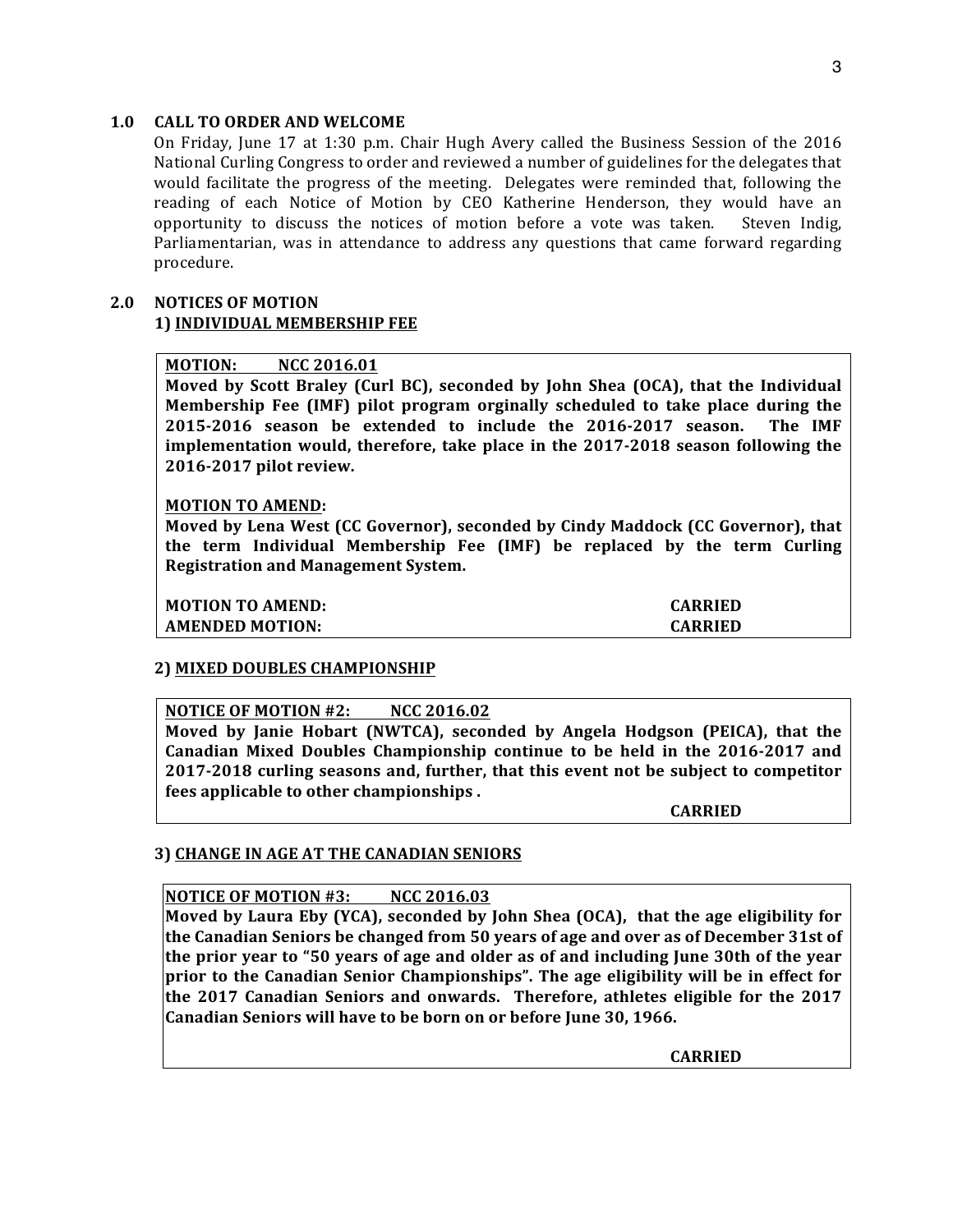## 1.0 **CALL TO ORDER AND WELCOME**

On Friday, June 17 at 1:30 p.m. Chair Hugh Avery called the Business Session of the 2016 National Curling Congress to order and reviewed a number of guidelines for the delegates that would facilitate the progress of the meeting. Delegates were reminded that, following the reading of each Notice of Motion by CEO Katherine Henderson, they would have an opportunity to discuss the notices of motion before a vote was taken. Steven Indig, Parliamentarian, was in attendance to address any questions that came forward regarding procedure.

## **2.0 NOTICES OF MOTION 1) INDIVIDUAL MEMBERSHIP FEE**

## **MOTION: NCC 2016.01**

**Moved** by Scott Braley (Curl BC), seconded by John Shea (OCA), that the Individual **Membership Fee (IMF) pilot program orginally scheduled to take place during the 2015-2016** season be extended to include the 2016-2017 season. The IMF **implementation would, therefore, take place in the 2017-2018 season following the 2016-2017 pilot review.**

#### **MOTION TO AMEND:**

Moved by Lena West (CC Governor), seconded by Cindy Maddock (CC Governor), that **the term Individual Membership Fee (IMF) be replaced by the term Curling Registration and Management System.** 

**MOTION TO AMEND: CARRIED** 

**AMENDED MOTION: CARRIED** 

#### **2) MIXED DOUBLES CHAMPIONSHIP**

#### **NOTICE OF MOTION #2: NCC 2016.02**

**Moved** by Janie Hobart (NWTCA), seconded by Angela Hodgson (PEICA), that the Canadian Mixed Doubles Championship continue to be held in the 2016-2017 and **2017-2018** curling seasons and, further, that this event not be subject to competitor **fees applicable to other championships.** 

**CARRIED**

## **3) CHANGE IN AGE AT THE CANADIAN SENIORS**

#### **NOTICE OF MOTION #3: NCC 2016.03**

**Moved by Laura Eby (YCA), seconded by John Shea (OCA), that the age eligibility for the Canadian Seniors be changed from 50 years of age and over as of December 31st of the prior year to "50 years of age and older as of and including June 30th of the year prior** to the Canadian Senior Championships". The age eligibility will be in effect for **the 2017 Canadian Seniors and onwards. Therefore, athletes eligible for the 2017** Canadian Seniors will have to be born on or before June 30, 1966.

**CARRIED**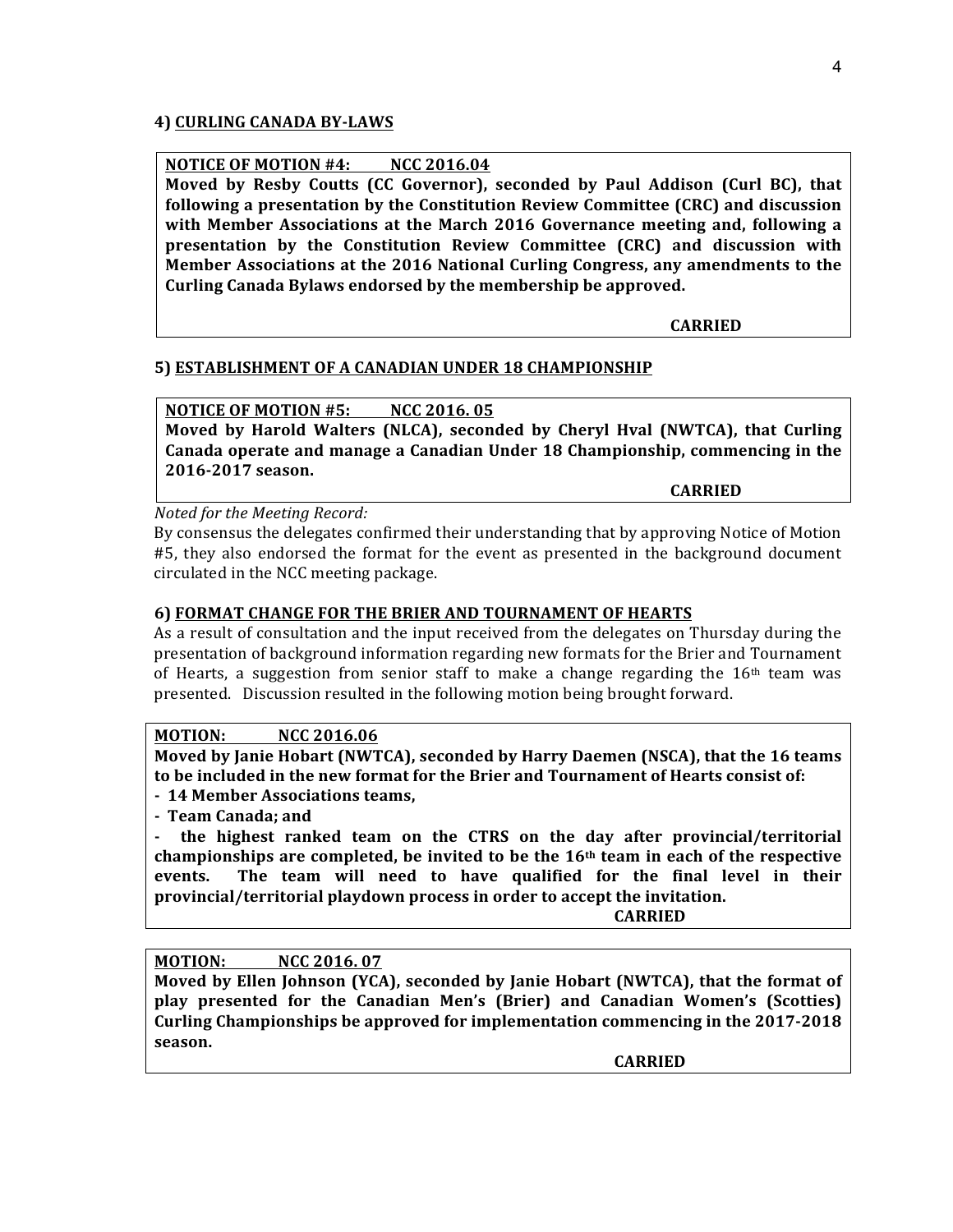## **4) CURLING CANADA BY-LAWS**

# **NOTICE OF MOTION #4: NCC 2016.04**

**Moved** by Resby Coutts (CC Governor), seconded by Paul Addison (Curl BC), that following a presentation by the Constitution Review Committee (CRC) and discussion **with Member Associations at the March 2016 Governance meeting and, following a presentation** by the Constitution Review Committee (CRC) and discussion with **Member Associations at the 2016 National Curling Congress, any amendments to the** Curling Canada Bylaws endorsed by the membership be approved.

**CARRIED**

## **5) ESTABLISHMENT OF A CANADIAN UNDER 18 CHAMPIONSHIP**

## **NOTICE OF MOTION #5: NCC 2016. 05**

**Moved** by Harold Walters (NLCA), seconded by Cheryl Hval (NWTCA), that Curling **Canada operate and manage a Canadian Under 18 Championship, commencing in the 2016-2017 season.**

**CARRIED**

*Noted for the Meeting Record:*

By consensus the delegates confirmed their understanding that by approving Notice of Motion #5, they also endorsed the format for the event as presented in the background document circulated in the NCC meeting package.

## **6) FORMAT CHANGE FOR THE BRIER AND TOURNAMENT OF HEARTS**

As a result of consultation and the input received from the delegates on Thursday during the presentation of background information regarding new formats for the Brier and Tournament of Hearts, a suggestion from senior staff to make a change regarding the  $16<sup>th</sup>$  team was presented. Discussion resulted in the following motion being brought forward.

## **MOTION: NCC 2016.06**

**Moved by Janie Hobart (NWTCA), seconded by Harry Daemen (NSCA), that the 16 teams** to be included in the new format for the Brier and Tournament of Hearts consist of:

- **- 14 Member Associations teams,**
- **- Team Canada; and**

the highest ranked team on the CTRS on the day after provincial/territorial championships are completed, be invited to be the 16<sup>th</sup> team in each of the respective events. The team will need to have qualified for the final level in their provincial/territorial playdown process in order to accept the invitation.

**CARRIED**

## **MOTION: NCC 2016.07**

Moved by Ellen Johnson (YCA), seconded by Janie Hobart (NWTCA), that the format of play presented for the Canadian Men's (Brier) and Canadian Women's (Scotties) **Curling Championships be approved for implementation commencing in the 2017-2018 season.**

**CARRIED**